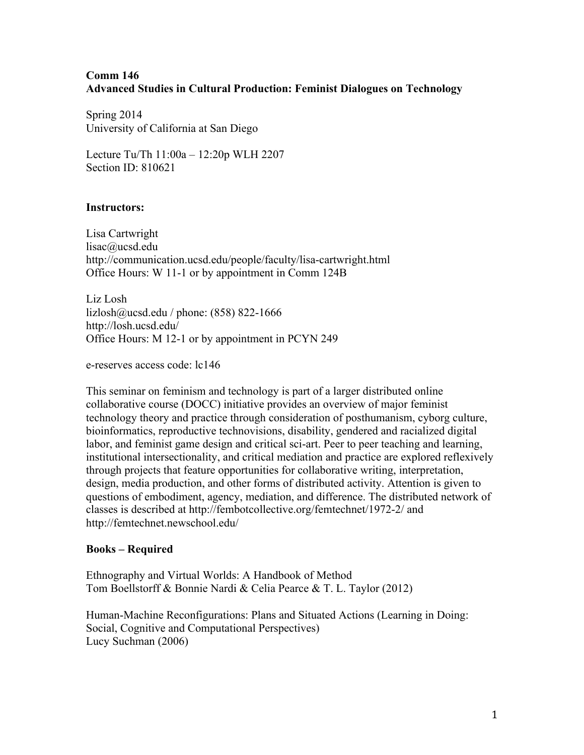## **Comm 146 Advanced Studies in Cultural Production: Feminist Dialogues on Technology**

Spring 2014 University of California at San Diego

Lecture Tu/Th 11:00a – 12:20p WLH 2207 Section ID: 810621

## **Instructors:**

Lisa Cartwright lisac@ucsd.edu http://communication.ucsd.edu/people/faculty/lisa-cartwright.html Office Hours: W 11-1 or by appointment in Comm 124B

Liz Losh lizlosh@ucsd.edu / phone: (858) 822-1666 http://losh.ucsd.edu/ Office Hours: M 12-1 or by appointment in PCYN 249

e-reserves access code: lc146

This seminar on feminism and technology is part of a larger distributed online collaborative course (DOCC) initiative provides an overview of major feminist technology theory and practice through consideration of posthumanism, cyborg culture, bioinformatics, reproductive technovisions, disability, gendered and racialized digital labor, and feminist game design and critical sci-art. Peer to peer teaching and learning, institutional intersectionality, and critical mediation and practice are explored reflexively through projects that feature opportunities for collaborative writing, interpretation, design, media production, and other forms of distributed activity. Attention is given to questions of embodiment, agency, mediation, and difference. The distributed network of classes is described at http://fembotcollective.org/femtechnet/1972-2/ and http://femtechnet.newschool.edu/

## **Books – Required**

Ethnography and Virtual Worlds: A Handbook of Method Tom Boellstorff & Bonnie Nardi & Celia Pearce & T. L. Taylor (2012)

Human-Machine Reconfigurations: Plans and Situated Actions (Learning in Doing: Social, Cognitive and Computational Perspectives) Lucy Suchman (2006)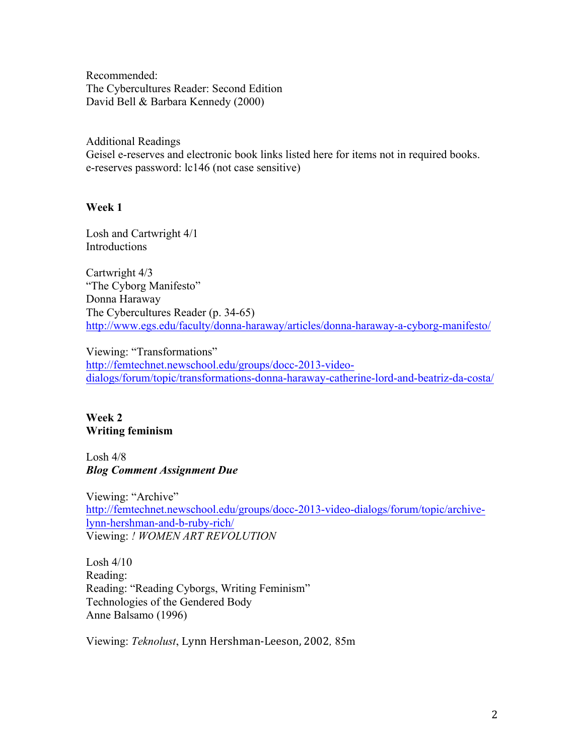Recommended: The Cybercultures Reader: Second Edition David Bell & Barbara Kennedy (2000)

Additional Readings Geisel e-reserves and electronic book links listed here for items not in required books. e-reserves password: lc146 (not case sensitive)

#### **Week 1**

Losh and Cartwright 4/1 Introductions

Cartwright 4/3 "The Cyborg Manifesto" Donna Haraway The Cybercultures Reader (p. 34-65) http://www.egs.edu/faculty/donna-haraway/articles/donna-haraway-a-cyborg-manifesto/

Viewing: "Transformations" http://femtechnet.newschool.edu/groups/docc-2013-videodialogs/forum/topic/transformations-donna-haraway-catherine-lord-and-beatriz-da-costa/

## **Week 2 Writing feminism**

Losh 4/8 *Blog Comment Assignment Due*

Viewing: "Archive" http://femtechnet.newschool.edu/groups/docc-2013-video-dialogs/forum/topic/archivelynn-hershman-and-b-ruby-rich/ Viewing: *! WOMEN ART REVOLUTION* 

Losh 4/10 Reading: Reading: "Reading Cyborgs, Writing Feminism" Technologies of the Gendered Body Anne Balsamo (1996)

Viewing: *Teknolust*, Lynn Hershman-Leeson, 2002*,* 85m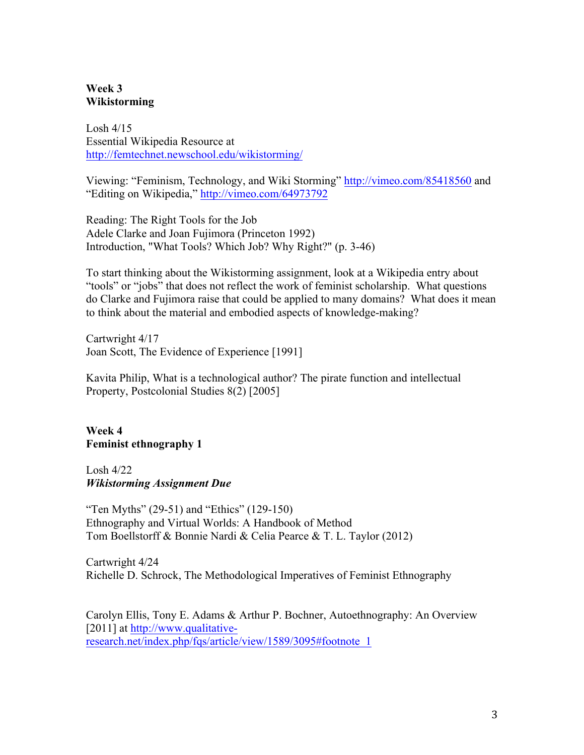## **Week 3 Wikistorming**

Losh  $4/15$ Essential Wikipedia Resource at http://femtechnet.newschool.edu/wikistorming/

Viewing: "Feminism, Technology, and Wiki Storming" http://vimeo.com/85418560 and "Editing on Wikipedia," http://vimeo.com/64973792

Reading: The Right Tools for the Job Adele Clarke and Joan Fujimora (Princeton 1992) Introduction, "What Tools? Which Job? Why Right?" (p. 3-46)

To start thinking about the Wikistorming assignment, look at a Wikipedia entry about "tools" or "jobs" that does not reflect the work of feminist scholarship. What questions do Clarke and Fujimora raise that could be applied to many domains? What does it mean to think about the material and embodied aspects of knowledge-making?

Cartwright 4/17 Joan Scott, The Evidence of Experience [1991]

Kavita Philip, What is a technological author? The pirate function and intellectual Property, Postcolonial Studies 8(2) [2005]

**Week 4 Feminist ethnography 1**

Losh 4/22 *Wikistorming Assignment Due*

"Ten Myths" (29-51) and "Ethics" (129-150) Ethnography and Virtual Worlds: A Handbook of Method Tom Boellstorff & Bonnie Nardi & Celia Pearce & T. L. Taylor (2012)

Cartwright 4/24 Richelle D. Schrock, The Methodological Imperatives of Feminist Ethnography

Carolyn Ellis, Tony E. Adams & Arthur P. Bochner, Autoethnography: An Overview [2011] at http://www.qualitativeresearch.net/index.php/fqs/article/view/1589/3095#footnote\_1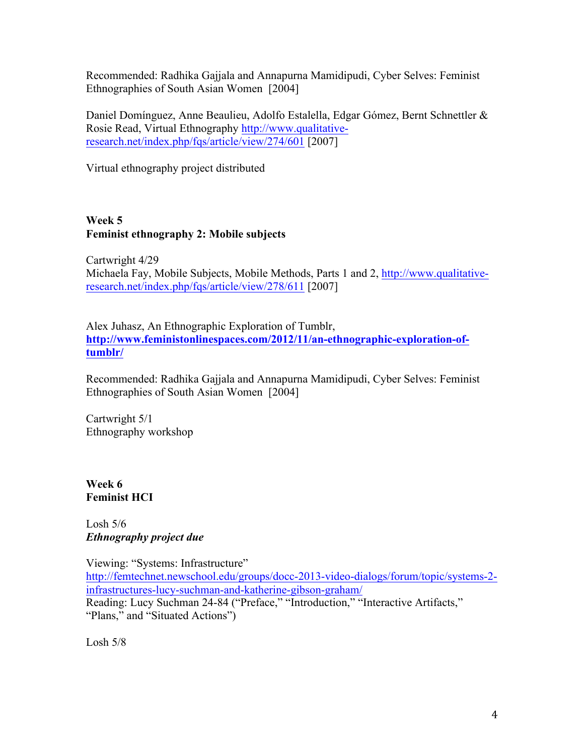Recommended: Radhika Gajjala and Annapurna Mamidipudi, Cyber Selves: Feminist Ethnographies of South Asian Women [2004]

Daniel Domínguez, Anne Beaulieu, Adolfo Estalella, Edgar Gómez, Bernt Schnettler & Rosie Read, Virtual Ethnography http://www.qualitativeresearch.net/index.php/fqs/article/view/274/601 [2007]

Virtual ethnography project distributed

# **Week 5 Feminist ethnography 2: Mobile subjects**

Cartwright 4/29 Michaela Fay, Mobile Subjects, Mobile Methods, Parts 1 and 2, http://www.qualitativeresearch.net/index.php/fqs/article/view/278/611 [2007]

Alex Juhasz, An Ethnographic Exploration of Tumblr, **http://www.feministonlinespaces.com/2012/11/an-ethnographic-exploration-oftumblr/**

Recommended: Radhika Gajjala and Annapurna Mamidipudi, Cyber Selves: Feminist Ethnographies of South Asian Women [2004]

Cartwright 5/1 Ethnography workshop

**Week 6 Feminist HCI**

Losh  $5/6$ *Ethnography project due*

Viewing: "Systems: Infrastructure" http://femtechnet.newschool.edu/groups/docc-2013-video-dialogs/forum/topic/systems-2 infrastructures-lucy-suchman-and-katherine-gibson-graham/ Reading: Lucy Suchman 24-84 ("Preface," "Introduction," "Interactive Artifacts," "Plans," and "Situated Actions")

Losh  $5/8$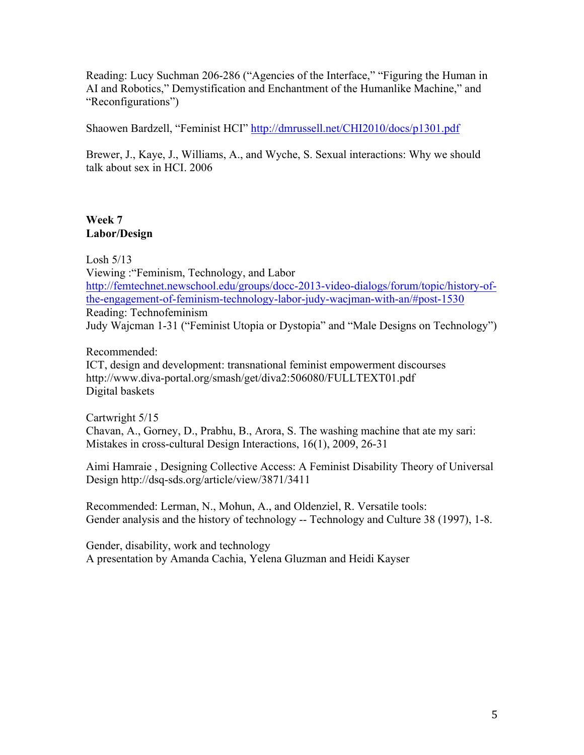Reading: Lucy Suchman 206-286 ("Agencies of the Interface," "Figuring the Human in AI and Robotics," Demystification and Enchantment of the Humanlike Machine," and "Reconfigurations")

Shaowen Bardzell, "Feminist HCI" http://dmrussell.net/CHI2010/docs/p1301.pdf

Brewer, J., Kaye, J., Williams, A., and Wyche, S. Sexual interactions: Why we should talk about sex in HCI. 2006

# **Week 7 Labor/Design**

Losh 5/13 Viewing :"Feminism, Technology, and Labor http://femtechnet.newschool.edu/groups/docc-2013-video-dialogs/forum/topic/history-ofthe-engagement-of-feminism-technology-labor-judy-wacjman-with-an/#post-1530 Reading: Technofeminism Judy Wajcman 1-31 ("Feminist Utopia or Dystopia" and "Male Designs on Technology")

Recommended:

ICT, design and development: transnational feminist empowerment discourses http://www.diva-portal.org/smash/get/diva2:506080/FULLTEXT01.pdf Digital baskets

Cartwright 5/15 Chavan, A., Gorney, D., Prabhu, B., Arora, S. The washing machine that ate my sari: Mistakes in cross-cultural Design Interactions, 16(1), 2009, 26-31

Aimi Hamraie , Designing Collective Access: A Feminist Disability Theory of Universal Design http://dsq-sds.org/article/view/3871/3411

Recommended: Lerman, N., Mohun, A., and Oldenziel, R. Versatile tools: Gender analysis and the history of technology -- Technology and Culture 38 (1997), 1-8.

Gender, disability, work and technology A presentation by Amanda Cachia, Yelena Gluzman and Heidi Kayser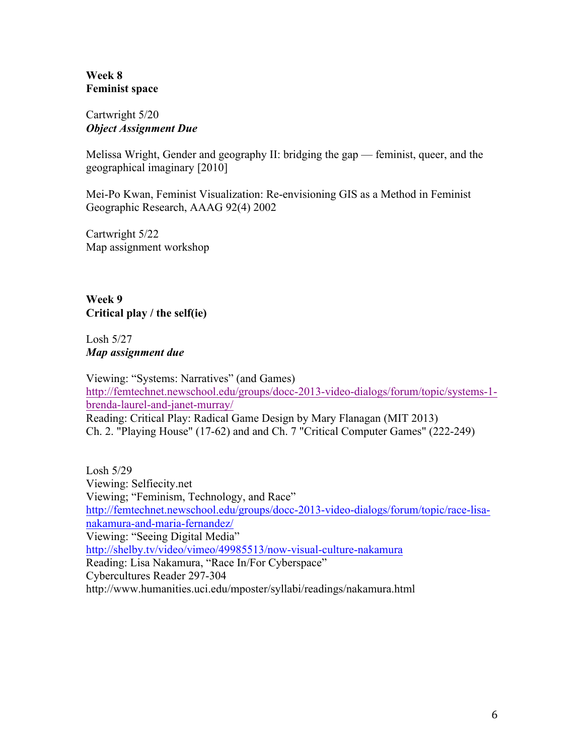## **Week 8 Feminist space**

## Cartwright 5/20 *Object Assignment Due*

Melissa Wright, Gender and geography II: bridging the gap — feminist, queer, and the geographical imaginary [2010]

Mei-Po Kwan, Feminist Visualization: Re-envisioning GIS as a Method in Feminist Geographic Research, AAAG 92(4) 2002

Cartwright 5/22 Map assignment workshop

**Week 9 Critical play / the self(ie)**

Losh 5/27 *Map assignment due* 

Viewing: "Systems: Narratives" (and Games) http://femtechnet.newschool.edu/groups/docc-2013-video-dialogs/forum/topic/systems-1 brenda-laurel-and-janet-murray/ Reading: Critical Play: Radical Game Design by Mary Flanagan (MIT 2013) Ch. 2. "Playing House" (17-62) and and Ch. 7 "Critical Computer Games" (222-249)

Losh 5/29 Viewing: Selfiecity.net Viewing; "Feminism, Technology, and Race" http://femtechnet.newschool.edu/groups/docc-2013-video-dialogs/forum/topic/race-lisanakamura-and-maria-fernandez/ Viewing: "Seeing Digital Media" http://shelby.tv/video/vimeo/49985513/now-visual-culture-nakamura Reading: Lisa Nakamura, "Race In/For Cyberspace" Cybercultures Reader 297-304 http://www.humanities.uci.edu/mposter/syllabi/readings/nakamura.html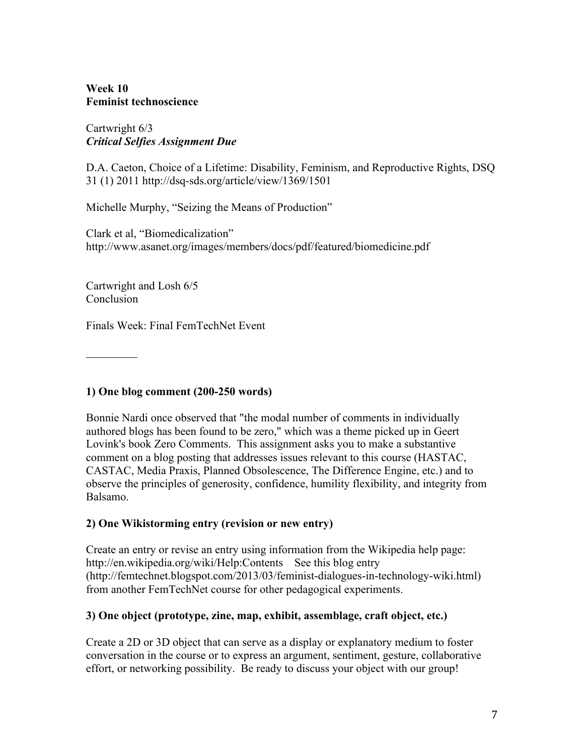## **Week 10 Feminist technoscience**

## Cartwright 6/3 *Critical Selfies Assignment Due*

D.A. Caeton, Choice of a Lifetime: Disability, Feminism, and Reproductive Rights, DSQ 31 (1) 2011 http://dsq-sds.org/article/view/1369/1501

Michelle Murphy, "Seizing the Means of Production"

Clark et al, "Biomedicalization" http://www.asanet.org/images/members/docs/pdf/featured/biomedicine.pdf

Cartwright and Losh 6/5 Conclusion

Finals Week: Final FemTechNet Event

 $\mathcal{L}_\text{max}$ 

# **1) One blog comment (200-250 words)**

Bonnie Nardi once observed that "the modal number of comments in individually authored blogs has been found to be zero," which was a theme picked up in Geert Lovink's book Zero Comments. This assignment asks you to make a substantive comment on a blog posting that addresses issues relevant to this course (HASTAC, CASTAC, Media Praxis, Planned Obsolescence, The Difference Engine, etc.) and to observe the principles of generosity, confidence, humility flexibility, and integrity from Balsamo.

# **2) One Wikistorming entry (revision or new entry)**

Create an entry or revise an entry using information from the Wikipedia help page: http://en.wikipedia.org/wiki/Help:Contents See this blog entry (http://femtechnet.blogspot.com/2013/03/feminist-dialogues-in-technology-wiki.html) from another FemTechNet course for other pedagogical experiments.

# **3) One object (prototype, zine, map, exhibit, assemblage, craft object, etc.)**

Create a 2D or 3D object that can serve as a display or explanatory medium to foster conversation in the course or to express an argument, sentiment, gesture, collaborative effort, or networking possibility. Be ready to discuss your object with our group!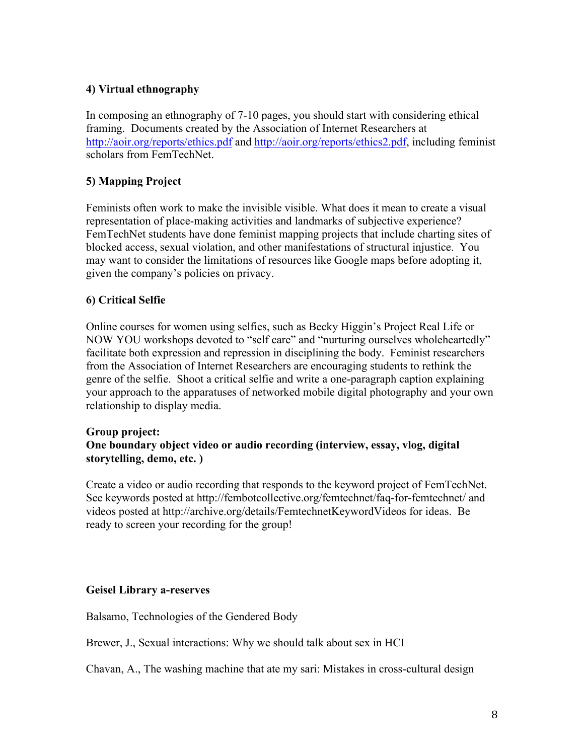## **4) Virtual ethnography**

In composing an ethnography of 7-10 pages, you should start with considering ethical framing. Documents created by the Association of Internet Researchers at http://aoir.org/reports/ethics.pdf and http://aoir.org/reports/ethics2.pdf, including feminist scholars from FemTechNet.

# **5) Mapping Project**

Feminists often work to make the invisible visible. What does it mean to create a visual representation of place-making activities and landmarks of subjective experience? FemTechNet students have done feminist mapping projects that include charting sites of blocked access, sexual violation, and other manifestations of structural injustice. You may want to consider the limitations of resources like Google maps before adopting it, given the company's policies on privacy.

## **6) Critical Selfie**

Online courses for women using selfies, such as Becky Higgin's Project Real Life or NOW YOU workshops devoted to "self care" and "nurturing ourselves wholeheartedly" facilitate both expression and repression in disciplining the body. Feminist researchers from the Association of Internet Researchers are encouraging students to rethink the genre of the selfie. Shoot a critical selfie and write a one-paragraph caption explaining your approach to the apparatuses of networked mobile digital photography and your own relationship to display media.

#### **Group project: One boundary object video or audio recording (interview, essay, vlog, digital storytelling, demo, etc. )**

Create a video or audio recording that responds to the keyword project of FemTechNet. See keywords posted at http://fembotcollective.org/femtechnet/faq-for-femtechnet/ and videos posted at http://archive.org/details/FemtechnetKeywordVideos for ideas. Be ready to screen your recording for the group!

## **Geisel Library a-reserves**

Balsamo, Technologies of the Gendered Body

Brewer, J., Sexual interactions: Why we should talk about sex in HCI

Chavan, A., The washing machine that ate my sari: Mistakes in cross-cultural design